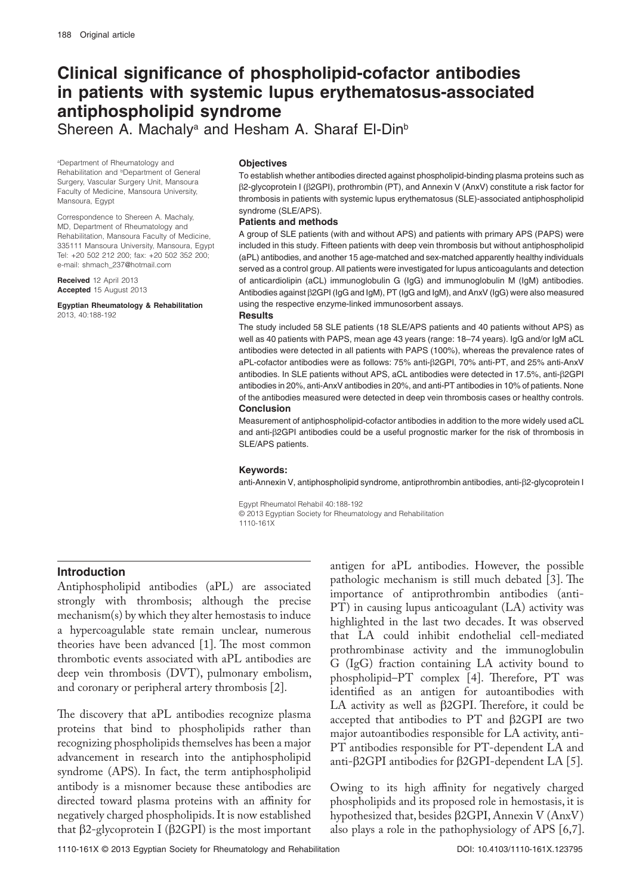# **Clinical significance of phospholipid-cofactor antibodies in patients with systemic lupus erythematosus-associated antiphospholipid syndrome**

Shereen A. Machaly<sup>a</sup> and Hesham A. Sharaf El-Din<sup>b</sup>

a Department of Rheumatology and Rehabilitation and <sup>b</sup>Department of General Surgery, Vascular Surgery Unit, Mansoura Faculty of Medicine, Mansoura University, Mansoura, Egypt

Correspondence to Shereen A. Machaly, MD, Department of Rheumatology and Rehabilitation, Mansoura Faculty of Medicine, 335111 Mansoura University, Mansoura, Egypt Tel: +20 502 212 200; fax: +20 502 352 200; e-mail: shmach\_237@hotmail.com

**Received** 12 April 2013 **Accepted** 15 August 2013

**Egyptian Rheumatology & Rehabilitation**  2013, 40:188-192

#### **Objectives**

To establish whether antibodies directed against phospholipid-binding plasma proteins such as β2-glycoprotein I (β2GPI), prothrombin (PT), and Annexin V (AnxV) constitute a risk factor for thrombosis in patients with systemic lupus erythematosus (SLE)-associated antiphospholipid syndrome (SLE/APS).

#### **Patients and methods**

A group of SLE patients (with and without APS) and patients with primary APS (PAPS) were included in this study. Fifteen patients with deep vein thrombosis but without antiphospholipid (aPL) antibodies, and another 15 age-matched and sex-matched apparently healthy individuals served as a control group. All patients were investigated for lupus anticoagulants and detection of anticardiolipin (aCL) immunoglobulin G (IgG) and immunoglobulin M (IgM) antibodies. Antibodies against β2GPI (IgG and IgM), PT (IgG and IgM), and AnxV (IgG) were also measured using the respective enzyme-linked immunosorbent assays.

#### **Results**

The study included 58 SLE patients (18 SLE/APS patients and 40 patients without APS) as well as 40 patients with PAPS, mean age 43 years (range: 18–74 years). IgG and/or IgM aCL antibodies were detected in all patients with PAPS (100%), whereas the prevalence rates of aPL-cofactor antibodies were as follows: 75% anti-β2GPI, 70% anti-PT, and 25% anti-AnxV antibodies. In SLE patients without APS, aCL antibodies were detected in 17.5%, anti-β2GPI antibodies in 20%, anti-AnxV antibodies in 20%, and anti-PT antibodies in 10% of patients. None of the antibodies measured were detected in deep vein thrombosis cases or healthy controls. **Conclusion**

Measurement of antiphospholipid-cofactor antibodies in addition to the more widely used aCL and anti-β2GPI antibodies could be a useful prognostic marker for the risk of thrombosis in SLE/APS patients.

#### **Keywords:**

anti-Annexin V, antiphospholipid syndrome, antiprothrombin antibodies, anti-β2-glycoprotein I

Egypt Rheumatol Rehabil 40:188-192

© 2013 Egyptian Society for Rheumatology and Rehabilitation

1110-161X

### **Introduction**

Antiphospholipid antibodies (aPL) are associated strongly with thrombosis; although the precise mechanism(s) by which they alter hemostasis to induce a hypercoagulable state remain unclear, numerous theories have been advanced [1]. The most common thrombotic events associated with aPL antibodies are deep vein thrombosis (DVT), pulmonary embolism, and coronary or peripheral artery thrombosis [2].

The discovery that aPL antibodies recognize plasma proteins that bind to phospholipids rather than recognizing phospholipids themselves has been a major advancement in research into the antiphospholipid syndrome (APS). In fact, the term antiphospholipid antibody is a misnomer because these antibodies are directed toward plasma proteins with an affinity for negatively charged phospholipids. It is now established that β2-glycoprotein I (β2GPI) is the most important

antigen for aPL antibodies. However, the possible pathologic mechanism is still much debated [3]. The importance of antiprothrombin antibodies (anti-PT) in causing lupus anticoagulant (LA) activity was highlighted in the last two decades. It was observed that LA could inhibit endothelial cell-mediated prothrombinase activity and the immunoglobulin G (IgG) fraction containing LA activity bound to phospholipid–PT complex [4]. Therefore, PT was identified as an antigen for autoantibodies with LA activity as well as β2GPI. Therefore, it could be accepted that antibodies to PT and β2GPI are two major autoantibodies responsible for LA activity, anti-PT antibodies responsible for PT-dependent LA and anti-β2GPI antibodies for β2GPI-dependent LA [5].

Owing to its high affinity for negatively charged phospholipids and its proposed role in hemostasis, it is hypothesized that, besides β2GPI, Annexin V (AnxV) also plays a role in the pathophysiology of APS [6,7].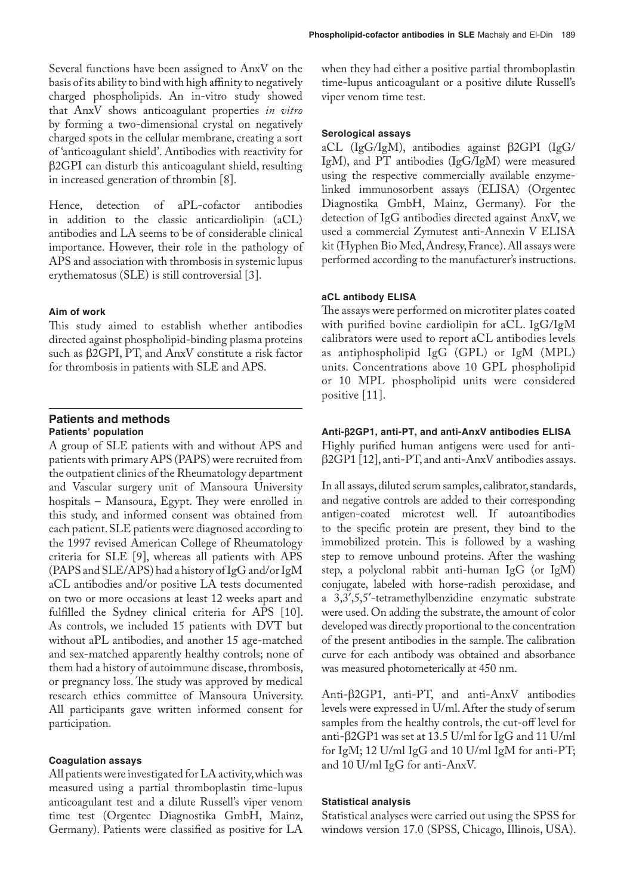Several functions have been assigned to AnxV on the basis of its ability to bind with high affinity to negatively charged phospholipids. An in-vitro study showed that AnxV shows anticoagulant properties *in vitro* by forming a two-dimensional crystal on negatively charged spots in the cellular membrane, creating a sort of 'anticoagulant shield'. Antibodies with reactivity for β2GPI can disturb this anticoagulant shield, resulting in increased generation of thrombin [8].

Hence, detection of aPL-cofactor antibodies in addition to the classic anticardiolipin (aCL) antibodies and LA seems to be of considerable clinical importance. However, their role in the pathology of APS and association with thrombosis in systemic lupus erythematosus (SLE) is still controversial [3].

# **Aim of work**

This study aimed to establish whether antibodies directed against phospholipid-binding plasma proteins such as β2GPI, PT, and AnxV constitute a risk factor for thrombosis in patients with SLE and APS.

# **Patients and methods Patients' population**

A group of SLE patients with and without APS and patients with primary APS (PAPS) were recruited from the outpatient clinics of the Rheumatology department and Vascular surgery unit of Mansoura University hospitals – Mansoura, Egypt. They were enrolled in this study, and informed consent was obtained from each patient. SLE patients were diagnosed according to the 1997 revised American College of Rheumatology criteria for SLE [9], whereas all patients with APS (PAPS and SLE/APS) had a history of IgG and/or IgM aCL antibodies and/or positive LA tests documented on two or more occasions at least 12 weeks apart and fulfilled the Sydney clinical criteria for APS [10]. As controls, we included 15 patients with DVT but without aPL antibodies, and another 15 age-matched and sex-matched apparently healthy controls; none of them had a history of autoimmune disease, thrombosis, or pregnancy loss. The study was approved by medical research ethics committee of Mansoura University. All participants gave written informed consent for participation.

### **Coagulation assays**

All patients were investigated for LA activity, which was measured using a partial thromboplastin time-lupus anticoagulant test and a dilute Russell's viper venom time test (Orgentec Diagnostika GmbH, Mainz, Germany). Patients were classified as positive for LA when they had either a positive partial thromboplastin time-lupus anticoagulant or a positive dilute Russell's viper venom time test.

# **Serological assays**

aCL (IgG/IgM), antibodies against β2GPI (IgG/ IgM), and PT antibodies (IgG/IgM) were measured using the respective commercially available enzymelinked immunosorbent assays (ELISA) (Orgentec Diagnostika GmbH, Mainz, Germany). For the detection of IgG antibodies directed against AnxV, we used a commercial Zymutest anti-Annexin V ELISA kit (Hyphen Bio Med, Andresy, France). All assays were performed according to the manufacturer's instructions.

# **aCL antibody ELISA**

The assays were performed on microtiter plates coated with purified bovine cardiolipin for aCL. IgG/IgM calibrators were used to report aCL antibodies levels as antiphospholipid IgG (GPL) or IgM (MPL) units. Concentrations above 10 GPL phospholipid or 10 MPL phospholipid units were considered positive [11].

# **Anti-**β**2GP1, anti-PT, and anti-AnxV antibodies ELISA**

Highly purified human antigens were used for antiβ2GP1 [12], anti-PT, and anti-AnxV antibodies assays.

In all assays, diluted serum samples, calibrator, standards, and negative controls are added to their corresponding antigen-coated microtest well. If autoantibodies to the specific protein are present, they bind to the immobilized protein. This is followed by a washing step to remove unbound proteins. After the washing step, a polyclonal rabbit anti-human IgG (or IgM) conjugate, labeled with horse-radish peroxidase, and a 3,3′,5,5′-tetramethylbenzidine enzymatic substrate were used. On adding the substrate, the amount of color developed was directly proportional to the concentration of the present antibodies in the sample. The calibration curve for each antibody was obtained and absorbance was measured photometerically at 450 nm.

Anti-β2GP1, anti-PT, and anti-AnxV antibodies levels were expressed in U/ml. After the study of serum samples from the healthy controls, the cut-off level for anti-β2GP1 was set at 13.5 U/ml for IgG and 11 U/ml for IgM; 12 U/ml IgG and 10 U/ml IgM for anti-PT; and 10 U/ml IgG for anti-AnxV.

# **Statistical analysis**

Statistical analyses were carried out using the SPSS for windows version 17.0 (SPSS, Chicago, Illinois, USA).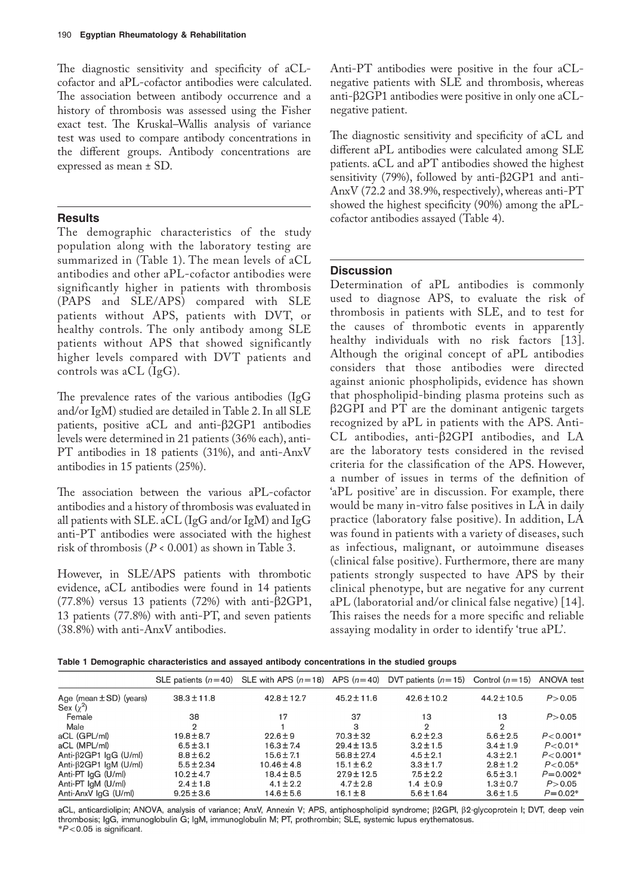The diagnostic sensitivity and specificity of aCLcofactor and aPL-cofactor antibodies were calculated. The association between antibody occurrence and a history of thrombosis was assessed using the Fisher exact test. The Kruskal–Wallis analysis of variance test was used to compare antibody concentrations in the different groups. Antibody concentrations are expressed as mean ± SD.

## **Results**

The demographic characteristics of the study population along with the laboratory testing are summarized in (Table 1). The mean levels of aCL antibodies and other aPL-cofactor antibodies were significantly higher in patients with thrombosis (PAPS and SLE/APS) compared with SLE patients without APS, patients with DVT, or healthy controls. The only antibody among SLE patients without APS that showed significantly higher levels compared with DVT patients and controls was aCL (IgG).

The prevalence rates of the various antibodies (IgG and/or IgM) studied are detailed in Table 2. In all SLE patients, positive aCL and anti-β2GP1 antibodies levels were determined in 21 patients (36% each), anti-PT antibodies in 18 patients (31%), and anti-AnxV antibodies in 15 patients (25%).

The association between the various aPL-cofactor antibodies and a history of thrombosis was evaluated in all patients with SLE. aCL (IgG and/or IgM) and IgG anti-PT antibodies were associated with the highest risk of thrombosis (*P* < 0.001) as shown in Table 3.

However, in SLE/APS patients with thrombotic evidence, aCL antibodies were found in 14 patients (77.8%) versus 13 patients (72%) with anti- $\beta$ 2GP1, 13 patients (77.8%) with anti-PT, and seven patients (38.8%) with anti-AnxV antibodies.

Anti-PT antibodies were positive in the four aCLnegative patients with SLE and thrombosis, whereas anti-β2GP1 antibodies were positive in only one aCLnegative patient.

The diagnostic sensitivity and specificity of aCL and different aPL antibodies were calculated among SLE patients. aCL and aPT antibodies showed the highest sensitivity (79%), followed by anti-β2GP1 and anti-AnxV (72.2 and 38.9%, respectively), whereas anti-PT showed the highest specificity (90%) among the aPLcofactor antibodies assayed (Table 4).

# **Discussion**

Determination of aPL antibodies is commonly used to diagnose APS, to evaluate the risk of thrombosis in patients with SLE, and to test for the causes of thrombotic events in apparently healthy individuals with no risk factors [13]. Although the original concept of aPL antibodies considers that those antibodies were directed against anionic phospholipids, evidence has shown that phospholipid-binding plasma proteins such as β2GPI and PT are the dominant antigenic targets recognized by aPL in patients with the APS. Anti-CL antibodies, anti-β2GPI antibodies, and LA are the laboratory tests considered in the revised criteria for the classification of the APS. However, a number of issues in terms of the definition of 'aPL positive' are in discussion. For example, there would be many in-vitro false positives in LA in daily practice (laboratory false positive). In addition, LA was found in patients with a variety of diseases, such as infectious, malignant, or autoimmune diseases (clinical false positive). Furthermore, there are many patients strongly suspected to have APS by their clinical phenotype, but are negative for any current aPL (laboratorial and/or clinical false negative) [14]. This raises the needs for a more specific and reliable assaying modality in order to identify 'true aPL'.

|  |  | Table 1 Demographic characteristics and assayed antibody concentrations in the studied groups |  |  |
|--|--|-----------------------------------------------------------------------------------------------|--|--|
|  |  |                                                                                               |  |  |

|                               |                 | SLE patients $(n=40)$ SLE with APS $(n=18)$ APS $(n=40)$ DVT patients $(n=15)$ Control $(n=15)$ |                 |                 |                 | ANOVA test   |
|-------------------------------|-----------------|-------------------------------------------------------------------------------------------------|-----------------|-----------------|-----------------|--------------|
| Age (mean $\pm$ SD) (years)   | $38.3 \pm 11.8$ | $42.8 \pm 12.7$                                                                                 | $45.2 \pm 11.6$ | $42.6 \pm 10.2$ | $44.2 \pm 10.5$ | P > 0.05     |
| Sex $(\gamma^2)$              |                 |                                                                                                 |                 |                 |                 |              |
| Female                        | 38              | 17                                                                                              | 37              | 13              | 13              | P > 0.05     |
| Male                          | $\mathfrak{D}$  |                                                                                                 | 3               | $\mathfrak{D}$  | 2               |              |
| aCL (GPL/ml)                  | $19.8 \pm 8.7$  | $22.6 \pm 9$                                                                                    | $70.3 \pm 32$   | $6.2 \pm 2.3$   | $5.6 \pm 2.5$   | $P < 0.001*$ |
| aCL (MPL/ml)                  | $6.5 \pm 3.1$   | $16.3 \pm 7.4$                                                                                  | $29.4 \pm 13.5$ | $3.2 \pm 1.5$   | $3.4 \pm 1.9$   | $P < 0.01*$  |
| Anti- $\beta$ 2GP1 IgG (U/ml) | $8.8 \pm 6.2$   | $15.6 \pm 7.1$                                                                                  | $56.8 \pm 27.4$ | $4.5 \pm 2.1$   | $4.3 \pm 2.1$   | $P < 0.001*$ |
| Anti- $\beta$ 2GP1 IqM (U/ml) | $5.5 \pm 2.34$  | $10.46 \pm 4.8$                                                                                 | $15.1 \pm 6.2$  | $3.3 \pm 1.7$   | $2.8 \pm 1.2$   | $P < 0.05*$  |
| Anti-PT $lgG$ (U/ml)          | $10.2 \pm 4.7$  | $18.4 \pm 8.5$                                                                                  | $27.9 \pm 12.5$ | $7.5 \pm 2.2$   | $6.5 \pm 3.1$   | $P = 0.002*$ |
| Anti-PT $IgM$ (U/ml)          | $2.4 \pm 1.8$   | $4.1 \pm 2.2$                                                                                   | $4.7 \pm 2.8$   | $1.4 \pm 0.9$   | $1.3 \pm 0.7$   | P > 0.05     |
| Anti-AnxV IgG (U/ml)          | $9.25 \pm 3.6$  | 14.6±5.6                                                                                        | $16.1 \pm 8$    | $5.6 \pm 1.64$  | $3.6 \pm 1.5$   | $P = 0.02*$  |

aCL, anticardiolipin; ANOVA, analysis of variance; AnxV, Annexin V; APS, antiphospholipid syndrome;  $\beta$ 2GPI,  $\beta$ 2-glycoprotein I; DVT, deep vein thrombosis; IgG, immunoglobulin G; IgM, immunoglobulin M; PT, prothrombin; SLE, systemic lupus erythematosus.  $*P<0.05$  is significant.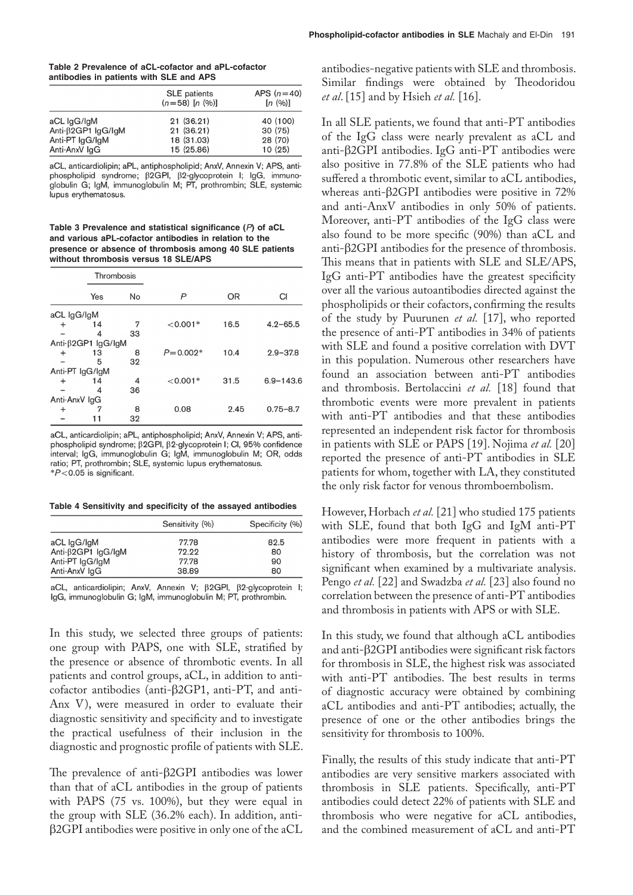| Table 2 Prevalence of aCL-cofactor and aPL-cofactor |  |
|-----------------------------------------------------|--|
| antibodies in patients with SLE and APS             |  |

|                                     | <b>SLE</b> patients<br>$(n=58)$ $[n (%)]$ | APS $(n=40)$<br>[n (96)] |
|-------------------------------------|-------------------------------------------|--------------------------|
| aCL IgG/IgM                         | 21(36.21)                                 | 40 (100)                 |
| Anti- $\beta$ 2GP1 $\lg$ G/ $\lg$ M | 21 (36.21)                                | 30 (75)                  |
| Anti-PT IgG/IgM                     | 18 (31.03)                                | 28 (70)                  |
| Anti-AnxV IgG                       | 15 (25.86)                                | 10(25)                   |

aCL, anticardiolipin; aPL, antiphospholipid; AnxV, Annexin V; APS, antiphospholipid syndrome; β2GPI, β2-glycoprotein I; IgG, immunoglobulin G; IgM, immunoglobulin M; PT, prothrombin; SLE, systemic lupus erythematosus.

**Table 3 Prevalence and statistical significance (***P***) of aCL and various aPL-cofactor antibodies in relation to the presence or absence of thrombosis among 40 SLE patients without thrombosis versus 18 SLE/APS**

|               | Thrombosis                          |    |              |           |               |  |
|---------------|-------------------------------------|----|--------------|-----------|---------------|--|
|               | Yes                                 | No | P            | <b>OR</b> | CI            |  |
| aCL IgG/IgM   |                                     |    |              |           |               |  |
| $\ddot{}$     | 14                                  | 7  | $< 0.001*$   | 16.5      | $4.2 - 65.5$  |  |
|               | 4                                   | 33 |              |           |               |  |
|               | Anti- $\beta$ 2GP1 $\lg$ G/ $\lg M$ |    |              |           |               |  |
| $\ddot{}$     | 13                                  | 8  | $P = 0.002*$ | 10.4      | $2.9 - 37.8$  |  |
|               | 5                                   | 32 |              |           |               |  |
|               | Anti-PT IgG/IgM                     |    |              |           |               |  |
| $\ddot{}$     | 14                                  | 4  | $< 0.001*$   | 31.5      | $6.9 - 143.6$ |  |
|               | 4                                   | 36 |              |           |               |  |
| Anti-AnxV IgG |                                     |    |              |           |               |  |
| $\,{}^+$      |                                     | 8  | 0.08         | 2.45      | $0.75 - 8.7$  |  |
|               |                                     | 32 |              |           |               |  |

aCL, anticardiolipin; aPL, antiphospholipid; AnxV, Annexin V; APS, antiphospholipid syndrome;  $\beta$ 2GPI,  $\beta$ 2-glycoprotein I; CI, 95% confidence interval; IgG, immunoglobulin G; IgM, immunoglobulin M; OR, odds ratio; PT, prothrombin; SLE, systemic lupus erythematosus.  $*P<0.05$  is significant.

**Table 4 Sensitivity and specificity of the assayed antibodies**

|                            | Sensitivity (%) | Specificity (%) |
|----------------------------|-----------------|-----------------|
| aCL IgG/IgM                | 77.78           | 82.5            |
| Anti- $\beta$ 2GP1 IgG/IgM | 72.22           | 80              |
| Anti-PT IgG/IgM            | 77.78           | 90              |
| Anti-AnxV IgG              | 38.89           | 80              |

aCL, anticardiolipin; AnxV, Annexin V;  $\beta$ 2GPI,  $\beta$ 2-glycoprotein I; IgG, immunoglobulin G; IgM, immunoglobulin M; PT, prothrombin.

In this study, we selected three groups of patients: one group with PAPS, one with SLE, stratified by the presence or absence of thrombotic events. In all patients and control groups, aCL, in addition to anticofactor antibodies (anti-β2GP1, anti-PT, and anti-Anx V), were measured in order to evaluate their diagnostic sensitivity and specificity and to investigate the practical usefulness of their inclusion in the diagnostic and prognostic profile of patients with SLE.

The prevalence of anti-β2GPI antibodies was lower than that of aCL antibodies in the group of patients with PAPS (75 vs. 100%), but they were equal in the group with SLE (36.2% each). In addition, antiβ2GPI antibodies were positive in only one of the aCL antibodies-negative patients with SLE and thrombosis. Similar findings were obtained by Theodoridou *et al*. [15] and by Hsieh *et al.* [16].

In all SLE patients, we found that anti-PT antibodies of the IgG class were nearly prevalent as aCL and anti-β2GPI antibodies. IgG anti-PT antibodies were also positive in 77.8% of the SLE patients who had suffered a thrombotic event, similar to aCL antibodies, whereas anti-β2GPI antibodies were positive in 72% and anti-AnxV antibodies in only 50% of patients. Moreover, anti-PT antibodies of the IgG class were also found to be more specific (90%) than aCL and anti-β2GPI antibodies for the presence of thrombosis. This means that in patients with SLE and SLE/APS, IgG anti-PT antibodies have the greatest specificity over all the various autoantibodies directed against the phospholipids or their cofactors, confirming the results of the study by Puurunen *et al.* [17], who reported the presence of anti-PT antibodies in 34% of patients with SLE and found a positive correlation with DVT in this population. Numerous other researchers have found an association between anti-PT antibodies and thrombosis. Bertolaccini *et al.* [18] found that thrombotic events were more prevalent in patients with anti-PT antibodies and that these antibodies represented an independent risk factor for thrombosis in patients with SLE or PAPS [19]. Nojima *et al.* [20] reported the presence of anti-PT antibodies in SLE patients for whom, together with LA, they constituted the only risk factor for venous thromboembolism.

However, Horbach *et al.* [21] who studied 175 patients with SLE, found that both IgG and IgM anti-PT antibodies were more frequent in patients with a history of thrombosis, but the correlation was not significant when examined by a multivariate analysis. Pengo *et al.* [22] and Swadzba *et al.* [23] also found no correlation between the presence of anti-PT antibodies and thrombosis in patients with APS or with SLE.

In this study, we found that although aCL antibodies and anti-β2GPI antibodies were significant risk factors for thrombosis in SLE, the highest risk was associated with anti-PT antibodies. The best results in terms of diagnostic accuracy were obtained by combining aCL antibodies and anti-PT antibodies; actually, the presence of one or the other antibodies brings the sensitivity for thrombosis to 100%.

Finally, the results of this study indicate that anti-PT antibodies are very sensitive markers associated with thrombosis in SLE patients. Specifically, anti-PT antibodies could detect 22% of patients with SLE and thrombosis who were negative for aCL antibodies, and the combined measurement of aCL and anti-PT